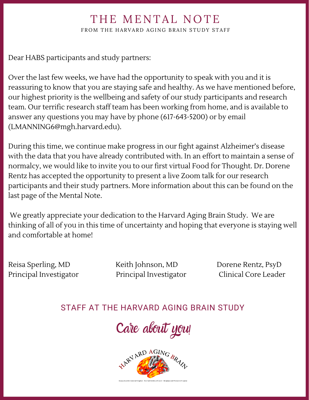## THE MENTAL NOTE

FROM THE HARVARD AGING BRAIN STUDY STAFF

Dear HABS participants and study partners:

Over the last few weeks, we have had the opportunity to speak with you and it is reassuring to know that you are staying safe and healthy. As we have mentioned before, our highest priority is the wellbeing and safety of our study participants and research team. Our terrific research staff team has been working from home, and is available to answer any questions you may have by phone (617-643-5200) or by email (LMANNING6@mgh.harvard.edu).

During this time, we continue make progress in our fight against Alzheimer's disease with the data that you have already contributed with. In an effort to maintain a sense of normalcy, we would like to invite you to our first virtual Food for Thought. Dr. Dorene Rentz has accepted the opportunity to present a live Zoom talk for our research participants and their study partners. More information about this can be found on the last page of the Mental Note.

We greatly appreciate your dedication to the Harvard Aging Brain Study. We are thinking of all of you in this time of uncertainty and hoping that everyone is staying well and comfortable at home!

Reisa Sperling, MD Keith Johnson, MD Dorene Rentz, PsyD Principal Investigator Principal Investigator Clinical Core Leader

### STAFF AT THE HARVARD AGING BRAIN STUDY

Care about you!

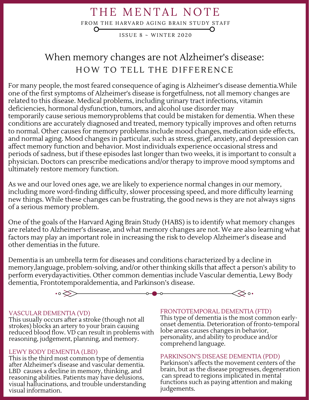## THE MENTAL NOTE

FROM THE HARVARD AGING BRAIN STUDY STAFF

ISSUE  $8 \sim$  WINTER 2020

## When memory changes are not Alzheimer's disease: HOW TO TELL THE DIFFERENCE

For many people, the most feared consequence of aging is Alzheimer's disease dementia.While one of the first symptoms of Alzheimer's disease is forgetfulness, not all memory changes are related to this disease. Medical problems, including urinary tract infections, vitamin deficiencies, hormonal dysfunction, tumors, and alcohol use disorder may temporarily cause serious memoryproblems that could be mistaken for dementia. When these conditions are accurately diagnosed and treated, memory typically improves and often returns to normal. Other causes for memory problems include mood changes, medication side effects, and normal aging. Mood changes in particular, such as stress, grief, anxiety, and depression can affect memory function and behavior. Most individuals experience occasional stress and periods of sadness, but if these episodes last longer than two weeks, it is important to consult a physician. Doctors can prescribe medications and/or therapy to improve mood symptoms and ultimately restore memory function.

As we and our loved ones age, we are likely to experience normal changes in our memory, including more word-finding difficulty, slower processing speed, and more difficulty learning new things. While these changes can be frustrating, the good news is they are not always signs of a serious memory problem.

One of the goals of the Harvard Aging Brain Study (HABS) is to identify what memory changes are related to Alzheimer's disease, and what memory changes are not. We are also learning what factors may play an important role in increasing the risk to develop Alzheimer's disease and other dementias in the future.

Dementia is an umbrella term for diseases and conditions characterized by a decline in memory,language, problem-solving, and/or other thinking skills that affect a person's ability to perform everydayactivities. Other common dementias include Vascular dementia, Lewy Body dementia, Frontotemporaldementia, and Parkinson's disease.



#### VASCULAR DEMENTIA (VD)

This usually occurs after a stroke (though not all strokes) blocks an artery to your brain causing reduced blood flow. VD can result in problems with reasoning, judgement, planning, and memory.

#### LEWY BODY DEMENTIA (LBD)

This is the third most common type of dementia after Alzheimer's disease and vascular dementia. LBD causes a decline in memory, thinking, and reasoning abilities. Patients may have delusions, visual hallucinations, and trouble understanding visual information.

#### FRONTOTEMPORAL DEMENTIA (FTD)

This type of dementia is the most common earlyonset dementia. Deterioration of fronto-temporal lobe areas causes changes in behavior, personality, and ability to produce and/or comprehend language.

#### PARKINSON'S DISEASE DEMENTIA (PDD)

Parkinson's affects the movement centers of the brain, but as the disease progresses, degeneration can spread to regions implicated in mental functions such as paying attention and making judgements.